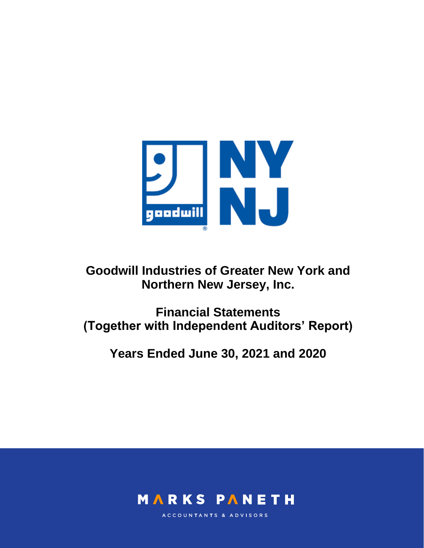

# **Goodwill Industries of Greater New York and Northern New Jersey, Inc.**

# **Financial Statements (Together with Independent Auditors' Report)**

# **Years Ended June 30, 2021 and 2020**



ACCOUNTANTS & ADVISORS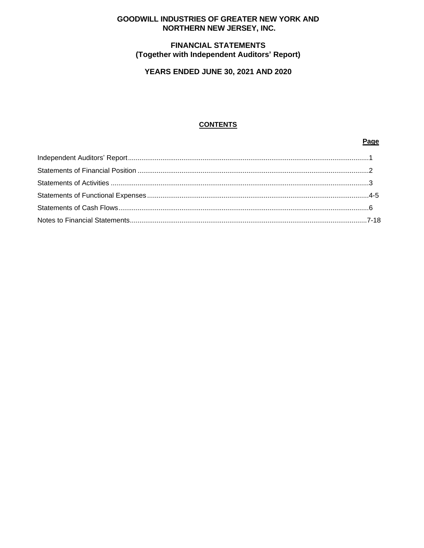# **GOODWILL INDUSTRIES OF GREATER NEW YORK AND** NORTHERN NEW JERSEY, INC.

# **FINANCIAL STATEMENTS** (Together with Independent Auditors' Report)

**YEARS ENDED JUNE 30, 2021 AND 2020** 

# **CONTENTS**

## Page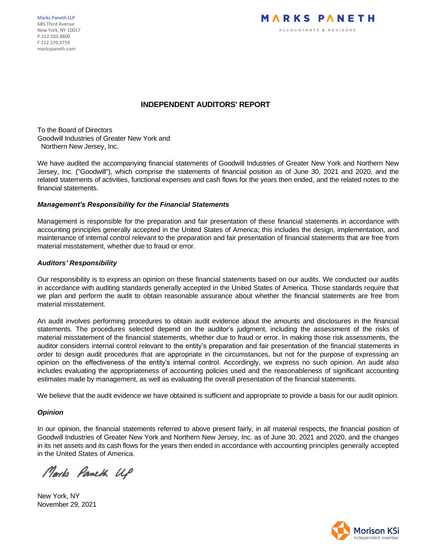Marks Paneth LLP 685 Third Avenue New York, NY 10017 P 212.503.8800 F 212.370.3759 markspaneth.com



# **INDEPENDENT AUDITORS' REPORT**

To the Board of Directors Goodwill Industries of Greater New York and Northern New Jersey, Inc.

We have audited the accompanying financial statements of Goodwill Industries of Greater New York and Northern New Jersey, Inc. ("Goodwill"), which comprise the statements of financial position as of June 30, 2021 and 2020, and the related statements of activities, functional expenses and cash flows for the years then ended, and the related notes to the financial statements.

## *Management's Responsibility for the Financial Statements*

Management is responsible for the preparation and fair presentation of these financial statements in accordance with accounting principles generally accepted in the United States of America; this includes the design, implementation, and maintenance of internal control relevant to the preparation and fair presentation of financial statements that are free from material misstatement, whether due to fraud or error.

## *Auditors' Responsibility*

Our responsibility is to express an opinion on these financial statements based on our audits. We conducted our audits in accordance with auditing standards generally accepted in the United States of America. Those standards require that we plan and perform the audit to obtain reasonable assurance about whether the financial statements are free from material misstatement.

An audit involves performing procedures to obtain audit evidence about the amounts and disclosures in the financial statements. The procedures selected depend on the auditor's judgment, including the assessment of the risks of material misstatement of the financial statements, whether due to fraud or error. In making those risk assessments, the auditor considers internal control relevant to the entity's preparation and fair presentation of the financial statements in order to design audit procedures that are appropriate in the circumstances, but not for the purpose of expressing an opinion on the effectiveness of the entity's internal control. Accordingly, we express no such opinion. An audit also includes evaluating the appropriateness of accounting policies used and the reasonableness of significant accounting estimates made by management, as well as evaluating the overall presentation of the financial statements.

We believe that the audit evidence we have obtained is sufficient and appropriate to provide a basis for our audit opinion.

#### *Opinion*

In our opinion, the financial statements referred to above present fairly, in all material respects, the financial position of Goodwill Industries of Greater New York and Northern New Jersey, Inc. as of June 30, 2021 and 2020, and the changes in its net assets and its cash flows for the years then ended in accordance with accounting principles generally accepted in the United States of America.

Marks Paneth UP

New York, NY November 29, 2021

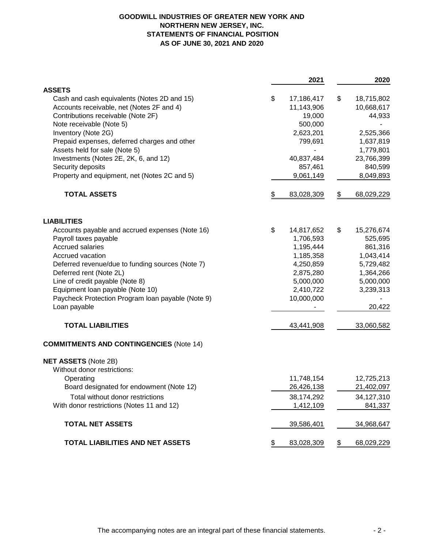# **GOODWILL INDUSTRIES OF GREATER NEW YORK AND NORTHERN NEW JERSEY, INC. STATEMENTS OF FINANCIAL POSITION AS OF JUNE 30, 2021 AND 2020**

|                                                                   | 2021                  | 2020                    |
|-------------------------------------------------------------------|-----------------------|-------------------------|
| <b>ASSETS</b>                                                     |                       |                         |
| Cash and cash equivalents (Notes 2D and 15)                       | \$<br>17,186,417      | \$<br>18,715,802        |
| Accounts receivable, net (Notes 2F and 4)                         | 11,143,906            | 10,668,617              |
| Contributions receivable (Note 2F)                                | 19,000                | 44,933                  |
| Note receivable (Note 5)                                          | 500,000               |                         |
| Inventory (Note 2G)                                               | 2,623,201             | 2,525,366               |
| Prepaid expenses, deferred charges and other                      | 799,691               | 1,637,819               |
| Assets held for sale (Note 5)                                     |                       | 1,779,801<br>23,766,399 |
| Investments (Notes 2E, 2K, 6, and 12)<br>Security deposits        | 40,837,484<br>857,461 | 840,599                 |
| Property and equipment, net (Notes 2C and 5)                      | 9,061,149             | 8,049,893               |
|                                                                   |                       |                         |
| <b>TOTAL ASSETS</b>                                               | \$<br>83,028,309      | \$<br>68,029,229        |
| <b>LIABILITIES</b>                                                |                       |                         |
| Accounts payable and accrued expenses (Note 16)                   | \$<br>14,817,652      | \$<br>15,276,674        |
| Payroll taxes payable                                             | 1,706,593             | 525,695                 |
| <b>Accrued salaries</b>                                           | 1,195,444             | 861,316                 |
| Accrued vacation                                                  | 1,185,358             | 1,043,414               |
| Deferred revenue/due to funding sources (Note 7)                  | 4,250,859             | 5,729,482               |
| Deferred rent (Note 2L)                                           | 2,875,280             | 1,364,266               |
| Line of credit payable (Note 8)                                   | 5,000,000             | 5,000,000               |
| Equipment loan payable (Note 10)                                  | 2,410,722             | 3,239,313               |
| Paycheck Protection Program Ioan payable (Note 9)<br>Loan payable | 10,000,000            | 20,422                  |
| <b>TOTAL LIABILITIES</b>                                          | 43,441,908            | 33,060,582              |
| <b>COMMITMENTS AND CONTINGENCIES (Note 14)</b>                    |                       |                         |
| <b>NET ASSETS (Note 2B)</b>                                       |                       |                         |
| Without donor restrictions:                                       |                       |                         |
| Operating                                                         | 11,748,154            | 12,725,213              |
| Board designated for endowment (Note 12)                          | 26,426,138            | 21,402,097              |
| Total without donor restrictions                                  | 38,174,292            | 34,127,310              |
| With donor restrictions (Notes 11 and 12)                         | 1,412,109             | 841,337                 |
| <b>TOTAL NET ASSETS</b>                                           | 39,586,401            | 34,968,647              |
| TOTAL LIABILITIES AND NET ASSETS                                  | \$<br>83,028,309      | \$<br>68,029,229        |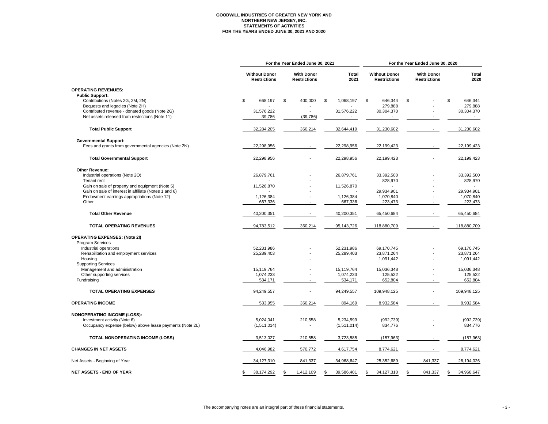#### **GOODWILL INDUSTRIES OF GREATER NEW YORK AND NORTHERN NEW JERSEY, INC. STATEMENTS OF ACTIVITIES FOR THE YEARS ENDED JUNE 30, 2021 AND 2020**

|                                                          |                                             | For the Year Ended June 30, 2021 |     |                                          |    | For the Year Ended June 30, 2020 |     |                                             |                                          |                |    |                      |
|----------------------------------------------------------|---------------------------------------------|----------------------------------|-----|------------------------------------------|----|----------------------------------|-----|---------------------------------------------|------------------------------------------|----------------|----|----------------------|
|                                                          | <b>Without Donor</b><br><b>Restrictions</b> |                                  |     | <b>With Donor</b><br><b>Restrictions</b> |    | <b>Total</b><br>2021             |     | <b>Without Donor</b><br><b>Restrictions</b> | <b>With Donor</b><br><b>Restrictions</b> |                |    | <b>Total</b><br>2020 |
| <b>OPERATING REVENUES:</b>                               |                                             |                                  |     |                                          |    |                                  |     |                                             |                                          |                |    |                      |
| <b>Public Support:</b>                                   |                                             |                                  |     |                                          |    |                                  |     |                                             |                                          |                |    |                      |
| Contributions (Notes 2G, 2M, 2N)                         | \$<br>668,197                               |                                  | \$  | 400,000                                  | \$ | 1,068,197                        | \$  | 646,344                                     | \$                                       |                | \$ | 646.344              |
| Bequests and legacies (Note 2H)                          |                                             |                                  |     |                                          |    |                                  |     | 279,888                                     |                                          |                |    | 279.888              |
| Contributed revenue - donated goods (Note 2G)            | 31.576.222                                  |                                  |     |                                          |    | 31,576,222                       |     | 30,304,370                                  |                                          |                |    | 30,304,370           |
| Net assets released from restrictions (Note 11)          | 39,786                                      |                                  |     | (39, 786)                                |    |                                  |     |                                             |                                          |                |    |                      |
| <b>Total Public Support</b>                              | 32,284,205                                  |                                  |     | 360,214                                  |    | 32,644,419                       |     | 31,230,602                                  |                                          |                |    | 31,230,602           |
| <b>Governmental Support:</b>                             |                                             |                                  |     |                                          |    |                                  |     |                                             |                                          |                |    |                      |
| Fees and grants from governmental agencies (Note 2N)     | 22,298,956                                  |                                  |     |                                          |    | 22,298,956                       |     | 22,199,423                                  |                                          |                |    | 22,199,423           |
|                                                          |                                             |                                  |     |                                          |    |                                  |     |                                             |                                          |                |    |                      |
| <b>Total Governmental Support</b>                        | 22,298,956                                  |                                  |     |                                          |    | 22,298,956                       |     | 22,199,423                                  |                                          |                |    | 22,199,423           |
| <b>Other Revenue:</b>                                    |                                             |                                  |     |                                          |    |                                  |     |                                             |                                          |                |    |                      |
| Industrial operations (Note 2O)                          | 26,879,761                                  |                                  |     |                                          |    | 26,879,761                       |     | 33,392,500                                  |                                          |                |    | 33,392,500           |
| Tenant rent                                              |                                             |                                  |     |                                          |    |                                  |     | 828,970                                     |                                          |                |    | 828,970              |
| Gain on sale of property and equipment (Note 5)          | 11,526,870                                  |                                  |     |                                          |    | 11,526,870                       |     |                                             |                                          |                |    |                      |
| Gain on sale of interest in affiliate (Notes 1 and 6)    |                                             |                                  |     |                                          |    |                                  |     | 29,934,901                                  |                                          |                |    | 29,934,901           |
| Endowment earnings appropriations (Note 12)              | 1,126,384                                   |                                  |     |                                          |    | 1,126,384                        |     | 1,070,840                                   |                                          |                |    | 1,070,840            |
| Other                                                    | 667,336                                     |                                  |     |                                          |    | 667,336                          |     | 223,473                                     |                                          |                |    | 223,473              |
| <b>Total Other Revenue</b>                               | 40,200,351                                  |                                  |     |                                          |    | 40,200,351                       |     | 65,450,684                                  |                                          |                |    | 65,450,684           |
| <b>TOTAL OPERATING REVENUES</b>                          | 94,783,512                                  |                                  |     | 360,214                                  |    | 95,143,726                       |     | 118,880,709                                 |                                          |                |    | 118,880,709          |
| <b>OPERATING EXPENSES: (Note 2I)</b>                     |                                             |                                  |     |                                          |    |                                  |     |                                             |                                          |                |    |                      |
| Program Services                                         |                                             |                                  |     |                                          |    |                                  |     |                                             |                                          |                |    |                      |
| Industrial operations                                    | 52,231,986                                  |                                  |     |                                          |    | 52,231,986                       |     | 69,170,745                                  |                                          |                |    | 69,170,745           |
| Rehabilitation and employment services                   | 25,289,403                                  |                                  |     |                                          |    | 25,289,403                       |     | 23,871,264                                  |                                          |                |    | 23,871,264           |
| Housing<br><b>Supporting Services</b>                    |                                             |                                  |     |                                          |    |                                  |     | 1,091,442                                   |                                          |                |    | 1,091,442            |
| Management and administration                            | 15,119,764                                  |                                  |     |                                          |    | 15,119,764                       |     | 15,036,348                                  |                                          |                |    | 15,036,348           |
| Other supporting services                                | 1,074,233                                   |                                  |     |                                          |    | 1,074,233                        |     | 125,522                                     |                                          |                |    | 125,522              |
| Fundraising                                              | 534,171                                     |                                  |     |                                          |    | 534,171                          |     | 652,804                                     |                                          | $\overline{a}$ |    | 652,804              |
| <b>TOTAL OPERATING EXPENSES</b>                          | 94,249,557                                  |                                  |     |                                          |    | 94,249,557                       |     | 109,948,125                                 |                                          |                |    | 109,948,125          |
| <b>OPERATING INCOME</b>                                  | 533,955                                     |                                  |     | 360,214                                  |    | 894,169                          |     | 8,932,584                                   |                                          |                |    | 8,932,584            |
|                                                          |                                             |                                  |     |                                          |    |                                  |     |                                             |                                          |                |    |                      |
| <b>NONOPERATING INCOME (LOSS):</b>                       |                                             |                                  |     |                                          |    |                                  |     |                                             |                                          |                |    |                      |
| Investment activity (Note 6)                             | 5,024,041                                   |                                  |     | 210,558                                  |    | 5,234,599                        |     | (992, 739)                                  |                                          |                |    | (992, 739)           |
| Occupancy expense (below) above lease payments (Note 2L) | (1,511,014)                                 |                                  |     |                                          |    | (1,511,014)                      |     | 834,776                                     |                                          |                |    | 834,776              |
| <b>TOTAL NONOPERATING INCOME (LOSS)</b>                  | 3,513,027                                   |                                  |     | 210,558                                  |    | 3,723,585                        |     | (157, 963)                                  |                                          |                |    | (157, 963)           |
| <b>CHANGES IN NET ASSETS</b>                             | 4,046,982                                   |                                  |     | 570,772                                  |    | 4,617,754                        |     | 8,774,621                                   |                                          |                |    | 8,774,621            |
| Net Assets - Beginning of Year                           | 34,127,310                                  |                                  |     | 841,337                                  |    | 34,968,647                       |     | 25,352,689                                  |                                          | 841,337        |    | 26,194,026           |
| <b>NET ASSETS - END OF YEAR</b>                          | 38,174,292<br>\$.                           |                                  | \$. | 1.412.109                                | \$ | 39.586.401                       | \$. | 34,127,310                                  | \$                                       | 841,337        | \$ | 34.968.647           |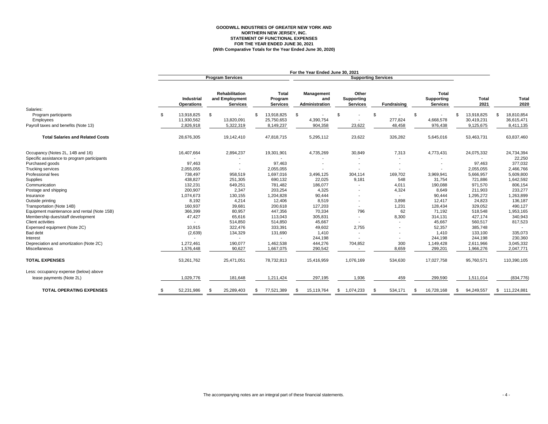#### **GOODWILL INDUSTRIES OF GREATER NEW YORK AND NORTHERN NEW JERSEY, INC. STATEMENT OF FUNCTIONAL EXPENSES FOR THE YEAR ENDED JUNE 30, 2021 (With Comparative Totals for the Year Ended June 30, 2020)**

|                                                                                        | For the Year Ended June 30, 2021 |                                       |    |                                                            |  |                                            |     |                                     |    |                                               |                         |     |                                               |    |                                       |                                       |
|----------------------------------------------------------------------------------------|----------------------------------|---------------------------------------|----|------------------------------------------------------------|--|--------------------------------------------|-----|-------------------------------------|----|-----------------------------------------------|-------------------------|-----|-----------------------------------------------|----|---------------------------------------|---------------------------------------|
|                                                                                        |                                  | <b>Program Services</b>               |    |                                                            |  |                                            |     | <b>Supporting Services</b>          |    |                                               |                         |     |                                               |    |                                       |                                       |
|                                                                                        |                                  | Industrial<br>Operations              |    | <b>Rehabilitation</b><br>and Employment<br><b>Services</b> |  | <b>Total</b><br>Program<br><b>Services</b> |     | Management<br>and<br>Administration |    | Other<br><b>Supporting</b><br><b>Services</b> | Fundraising             |     | Total<br><b>Supporting</b><br><b>Services</b> |    | <b>Total</b><br>2021                  | Total<br>2020                         |
| Salaries:<br>Program participants<br>Employees<br>Payroll taxes and benefits (Note 13) | \$                               | 13,918,825<br>11,930,562<br>2,826,918 | \$ | 13,820,091<br>5,322,319                                    |  | 13,918,825<br>25,750,653<br>8,149,237      | \$  | 4,390,754<br>904,358                | \$ | 23,622                                        | \$<br>277,824<br>48,458 | \$  | 4,668,578<br>976,438                          | \$ | 13,918,825<br>30,419,231<br>9,125,675 | 18,810,854<br>36,615,471<br>8,411,135 |
| <b>Total Salaries and Related Costs</b>                                                |                                  | 28,676,305                            |    | 19,142,410                                                 |  | 47,818,715                                 |     | 5,295,112                           |    | 23,622                                        | 326,282                 |     | 5,645,016                                     |    | 53,463,731                            | 63,837,460                            |
| Occupancy (Notes 2L, 14B and 16)<br>Specific assistance to program participants        |                                  | 16,407,664                            |    | 2,894,237                                                  |  | 19,301,901                                 |     | 4,735,269                           |    | 30,849                                        | 7,313                   |     | 4,773,431                                     |    | 24,075,332                            | 24,734,394<br>22,250                  |
| Purchased goods<br><b>Trucking services</b>                                            |                                  | 97,463<br>2,055,055                   |    |                                                            |  | 97,463<br>2,055,055                        |     |                                     |    |                                               |                         |     |                                               |    | 97,463<br>2,055,055                   | 377,032<br>2,466,766                  |
| Professional fees<br>Supplies                                                          |                                  | 738,497<br>438,827                    |    | 958,519<br>251,305                                         |  | 1,697,016<br>690,132                       |     | 3,496,125<br>22,025                 |    | 304,114<br>9,181                              | 169,702<br>548          |     | 3,969,941<br>31,754                           |    | 5,666,957<br>721,886                  | 5,609,800<br>1,642,592                |
| Communication<br>Postage and shipping                                                  |                                  | 132,231<br>200,907                    |    | 649,251<br>2,347                                           |  | 781,482<br>203,254                         |     | 186,077<br>4,325                    |    |                                               | 4,011<br>4,324          |     | 190,088<br>8,649                              |    | 971,570<br>211,903                    | 806,154<br>233,277                    |
| Insurance<br>Outside printing<br>Transportation (Note 14B)                             |                                  | 1,074,673<br>8,192<br>160,937         |    | 130,155<br>4,214<br>39,681                                 |  | 1,204,828<br>12,406<br>200,618             |     | 90,444<br>8,519<br>127,203          |    |                                               | 3,898<br>1,231          |     | 90,444<br>12,417<br>128,434                   |    | 1,295,272<br>24,823<br>329,052        | 1,263,899<br>136,187<br>490,127       |
| Equipment maintenance and rental (Note 15B)<br>Membership dues/staff development       |                                  | 366,399<br>47,427                     |    | 80,957<br>65,616                                           |  | 447,356<br>113,043                         |     | 70,334<br>305,831                   |    | 796                                           | 62<br>8,300             |     | 71,192<br>314,131                             |    | 518,548<br>427,174                    | 1,953,165<br>340,943                  |
| <b>Client activities</b><br>Expensed equipment (Note 2C)                               |                                  | $\overline{\phantom{a}}$<br>10,915    |    | 514,850<br>322,476                                         |  | 514,850<br>333,391                         |     | 45,667<br>49,602                    |    | 2,755                                         |                         |     | 45,667<br>52,357                              |    | 560,517<br>385,748                    | 817,523                               |
| Bad debt<br>Interest<br>Depreciation and amortization (Note 2C)                        |                                  | (2,639)<br>1,272,461                  |    | 134,329<br>190,077                                         |  | 131,690<br>1,462,538                       |     | 1,410<br>244,198<br>444,276         |    | 704,852                                       | 300                     |     | 1,410<br>244,198<br>1,149,428                 |    | 133,100<br>244,198<br>2,611,966       | 335,073<br>230,360<br>3,045,332       |
| Miscellaneous                                                                          |                                  | 1,576,448                             |    | 90,627                                                     |  | 1,667,075                                  |     | 290,542                             |    | $\overline{\phantom{0}}$                      | 8,659                   |     | 299,201                                       |    | 1,966,276                             | 2,047,771                             |
| <b>TOTAL EXPENSES</b>                                                                  |                                  | 53,261,762                            |    | 25,471,051                                                 |  | 78,732,813                                 |     | 15,416,959                          |    | 1,076,169                                     | 534,630                 |     | 17,027,758                                    |    | 95,760,571                            | 110,390,105                           |
| Less: occupancy expense (below) above<br>lease payments (Note 2L)                      |                                  | 1,029,776                             |    | 181,648                                                    |  | 1,211,424                                  |     | 297,195                             |    | 1,936                                         | 459                     |     | 299,590                                       |    | 1,511,014                             | (834, 776)                            |
| <b>TOTAL OPERATING EXPENSES</b>                                                        | -SS                              | 52,231,986                            | \$ | 25,289,403                                                 |  | 77,521,389                                 | \$. | 15,119,764                          |    | \$1,074,233                                   | 534,171                 | \$. | 16,728,168                                    | \$ | 94,249,557                            | \$111,224,881                         |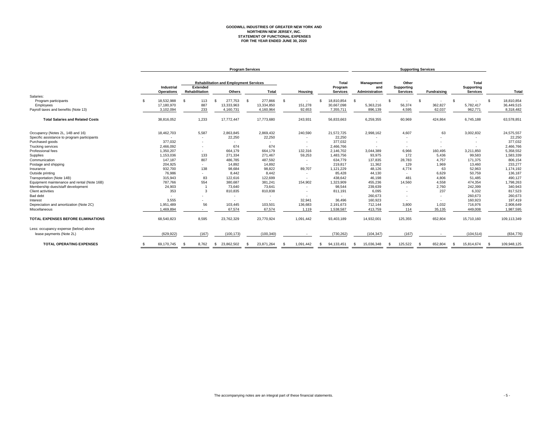#### **GOODWILL INDUSTRIES OF GREATER NEW YORK AND NORTHERN NEW JERSEY, INC. STATEMENT OF FUNCTIONAL EXPENSES FOR THE YEAR ENDED JUNE 30, 2020**

|                                             |     | <b>Program Services</b>         |                                   |                                                         |                          |           |                                     |                                     |                                        |                          |                                               |                            |
|---------------------------------------------|-----|---------------------------------|-----------------------------------|---------------------------------------------------------|--------------------------|-----------|-------------------------------------|-------------------------------------|----------------------------------------|--------------------------|-----------------------------------------------|----------------------------|
|                                             |     | Industrial<br><b>Operations</b> | <b>Extended</b><br>Rehabilitation | <b>Rehabilitation and Employment Services</b><br>Others | Total                    | Housing   | Total<br>Program<br><b>Services</b> | Management<br>and<br>Administration | Other<br>Supporting<br><b>Services</b> | <b>Fundraising</b>       | Total<br><b>Supporting</b><br><b>Services</b> | Total                      |
| Salaries:                                   |     |                                 |                                   |                                                         |                          |           |                                     |                                     |                                        |                          |                                               |                            |
| Program participants                        | \$. | 18,532,988                      | 113<br>$\mathcal{S}$              | 277.753<br>£.                                           | 277.866<br>-S            | S.        | 18.810.854<br>\$.                   | £                                   | - \$                                   | -S                       | -S                                            | 18,810,854<br>$\mathbf{s}$ |
| Employees                                   |     | 17,180,970                      | 887                               | 13,333,963                                              | 13,334,850               | 151,278   | 30,667,098                          | 5,363,216                           | 56,374                                 | 362,827                  | 5,782,417                                     | 36,449,515                 |
| Payroll taxes and benefits (Note 13)        |     | 3,102,094                       | 233                               | 4,160,731                                               | 4,160,964                | 92,653    | 7,355,711                           | 896,139                             | 4,595                                  | 62,037                   | 962,771                                       | 8,318,482                  |
| <b>Total Salaries and Related Costs</b>     |     | 38,816,052                      | 1,233                             | 17,772,447                                              | 17,773,680               | 243,931   | 56,833,663                          | 6,259,355                           | 60,969                                 | 424,864                  | 6,745,188                                     | 63,578,85                  |
| Occupancy (Notes 2L, 14B and 16)            |     | 18,462,703                      | 5,587                             | 2,863,845                                               | 2,869,432                | 240,590   | 21,572,725                          | 2,998,162                           | 4,607                                  | 63                       | 3,002,832                                     | 24,575,557                 |
| Specific assistance to program participants |     |                                 | $\sim$                            | 22,250                                                  | 22,250                   | . .       | 22,250                              |                                     | $\overline{\phantom{a}}$               | $\overline{\phantom{a}}$ |                                               | 22,250                     |
| Purchased goods                             |     | 377,032                         |                                   |                                                         |                          |           | 377,032                             |                                     |                                        |                          |                                               | 377,032                    |
| Trucking services                           |     | 2,466,092                       | н.                                | 674                                                     | 674                      | $\sim$    | 2,466,766                           |                                     | ٠                                      |                          |                                               | 2,466,766                  |
| Professional fees                           |     | 1,350,207                       | $\sim$                            | 664,179                                                 | 664,179                  | 132,316   | 2,146,702                           | 3,044,389                           | 6,966                                  | 160,495                  | 3,211,850                                     | 5,358,552                  |
| Supplies                                    |     | 1,153,036                       | 133                               | 271.334                                                 | 271,467                  | 59.253    | 1.483.756                           | 93.975                              | 172                                    | 5.436                    | 99.583                                        | 1,583,339                  |
| Communication                               |     | 147,187                         | 807                               | 486,785                                                 | 487,592                  | $\sim$    | 634,779                             | 137,835                             | 28,783                                 | 4,757                    | 171,375                                       | 806,154                    |
| Postage and shipping                        |     | 204,925                         | $\sim$                            | 14,892                                                  | 14,892                   | $\sim$    | 219,817                             | 11,362                              | 129                                    | 1,969                    | 13,460                                        | 233,277                    |
| Insurance                                   |     | 932,700                         | 138                               | 98,684                                                  | 98,822                   | 89,707    | 1,121,229                           | 48,126                              | 4.774                                  | 63                       | 52,963                                        | 1,174,192                  |
| Outside printing                            |     | 76,986                          | $\sim$                            | 8.442                                                   | 8.442                    | $\sim$    | 85.428                              | 44.130                              | ٠                                      | 6.629                    | 50.759                                        | 136,187                    |
| Transportation (Note 14B)                   |     | 315,943                         | 83                                | 122,616                                                 | 122,699                  |           | 438,642                             | 46,198                              | 481                                    | 4,806                    | 51,485                                        | 490,127                    |
| Equipment maintenance and rental (Note 16B) |     | 787,766                         | 554                               | 380,687                                                 | 381,241                  | 154,902   | 1,323,909                           | 455,236                             | 14,560                                 | 4,558                    | 474,354                                       | 1,798,263                  |
| Membership dues/staff development           |     | 24,903                          |                                   | 73.640                                                  | 73.641                   | . .       | 98.544                              | 239,639                             | ٠                                      | 2,760                    | 242.399                                       | 340.943                    |
| Client activities                           |     | 353                             | 3                                 | 810,835                                                 | 810,838                  | $\sim$    | 811,191                             | 6,095                               | ٠                                      | 237                      | 6,332                                         | 817,523                    |
| Bad debt                                    |     |                                 |                                   |                                                         |                          |           | $\overline{\phantom{a}}$            | 260,673                             | ٠                                      | ٠                        | 260,673                                       | 260,673                    |
| Interest                                    |     | 3,555                           |                                   |                                                         | $\overline{\phantom{a}}$ | 32.941    | 36,496                              | 160,923                             | ٠                                      |                          | 160,923                                       | 197,419                    |
| Depreciation and amortization (Note 2C)     |     | 1,951,489                       | 56                                | 103,445                                                 | 103,501                  | 136,683   | 2,191,673                           | 712,144                             | 3,800                                  | 1,032                    | 716,976                                       | 2,908,649                  |
| Miscellaneous                               |     | 1,469,894                       | ٠.                                | 67,574                                                  | 67,574                   | 1,119     | 1,538,587                           | 413,759                             | 114                                    | 35,135                   | 449,008                                       | 1,987,595                  |
| <b>TOTAL EXPENSES BEFORE ELIMINATIONS</b>   |     | 68,540,823                      | 8,595                             | 23,762,329                                              | 23,770,924               | 1,091,442 | 93,403,189                          | 14,932,001                          | 125,355                                | 652,804                  | 15,710,160                                    | 109,113,349                |
| Less: occupancy expense (below) above       |     |                                 |                                   |                                                         |                          |           |                                     |                                     |                                        |                          |                                               |                            |
| lease payments (Note 2L)                    |     | (629, 922)                      | (167)                             | (100, 173)                                              | (100, 340)               |           | (730, 262)                          | (104, 347)                          | (167)                                  |                          | (104, 514)                                    | (834, 776)                 |
| <b>TOTAL OPERATING EXPENSES</b>             | £.  | 69,170,745                      | 8,762<br>- \$                     | 23,862,502<br>S.                                        | 23,871,264<br>S.         | 1,091,442 | 94,133,451<br>\$.                   | 15,036,348<br>\$.                   | 125,522<br>-96                         | 652,804<br>$\mathbf{s}$  | 15,814,674<br>-96                             | 109,948,125                |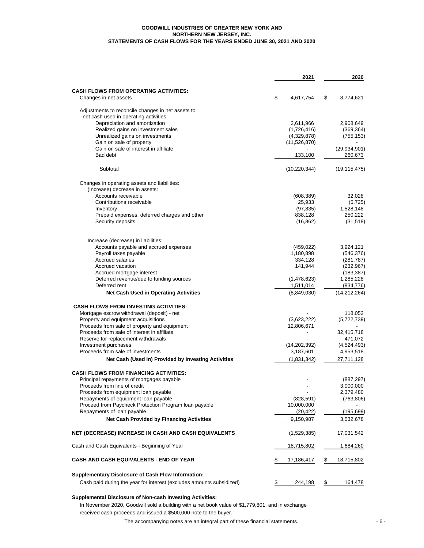#### **GOODWILL INDUSTRIES OF GREATER NEW YORK AND NORTHERN NEW JERSEY, INC. STATEMENTS OF CASH FLOWS FOR THE YEARS ENDED JUNE 30, 2021 AND 2020**

|                                                                       | 2021             | 2020             |
|-----------------------------------------------------------------------|------------------|------------------|
|                                                                       |                  |                  |
| <b>CASH FLOWS FROM OPERATING ACTIVITIES:</b><br>Changes in net assets | \$<br>4,617,754  | \$<br>8,774,621  |
|                                                                       |                  |                  |
| Adjustments to reconcile changes in net assets to                     |                  |                  |
| net cash used in operating activities:                                |                  |                  |
| Depreciation and amortization                                         | 2,611,966        | 2,908,649        |
| Realized gains on investment sales                                    | (1,726,416)      | (369, 364)       |
| Unrealized gains on investments                                       | (4,329,878)      | (755, 153)       |
| Gain on sale of property                                              | (11,526,870)     |                  |
| Gain on sale of interest in affiliate                                 |                  | (29, 934, 901)   |
| Bad debt                                                              | 133,100          | 260,673          |
| Subtotal                                                              | (10, 220, 344)   | (19, 115, 475)   |
| Changes in operating assets and liabilities:                          |                  |                  |
| (Increase) decrease in assets:                                        |                  |                  |
| Accounts receivable                                                   | (608, 389)       | 32,028           |
| Contributions receivable                                              | 25,933           | (5, 725)         |
| Inventory                                                             | (97, 835)        | 1,528,148        |
| Prepaid expenses, deferred charges and other                          | 838,128          | 250,222          |
| Security deposits                                                     | (16, 862)        | (31, 518)        |
|                                                                       |                  |                  |
| Increase (decrease) in liabilities:                                   |                  |                  |
| Accounts payable and accrued expenses                                 | (459, 022)       | 3,924,121        |
| Payroll taxes payable                                                 | 1,180,898        | (546, 376)       |
| <b>Accrued salaries</b>                                               | 334,128          | (281, 787)       |
| Accrued vacation                                                      | 141,944          | (232, 967)       |
| Accrued mortgage interest                                             |                  | (183, 387)       |
| Deferred revenue/due to funding sources                               | (1,478,623)      | 1,285,228        |
| Deferred rent                                                         | 1,511,014        | (834, 776)       |
| <b>Net Cash Used in Operating Activities</b>                          | (8,849,030)      | (14, 212, 264)   |
| <b>CASH FLOWS FROM INVESTING ACTIVITIES:</b>                          |                  |                  |
| Mortgage escrow withdrawal (deposit) - net                            |                  | 118,052          |
| Property and equipment acquisitions                                   | (3,623,222)      | (5,722,739)      |
| Proceeds from sale of property and equipment                          | 12,806,671       |                  |
| Proceeds from sale of interest in affiliate                           |                  | 32,415,718       |
| Reserve for replacement withdrawals                                   |                  | 471,072          |
| Investment purchases                                                  | (14, 202, 392)   | (4,524,493)      |
| Proceeds from sale of investments                                     | 3,187,601        | 4,953,518        |
| Net Cash (Used In) Provided by Investing Activities                   | (1,831,342)      | 27,711,128       |
|                                                                       |                  |                  |
| <b>CASH FLOWS FROM FINANCING ACTIVITIES:</b>                          |                  |                  |
| Principal repayments of mortgages payable                             |                  | (887, 297)       |
| Proceeds from line of credit                                          |                  | 3,000,000        |
| Proceeds from equipment loan payable                                  |                  | 2,379,480        |
| Repayments of equipment loan payable                                  | (828, 591)       | (763, 806)       |
| Proceed from Paycheck Protection Program Ioan payable                 | 10,000,000       |                  |
| Repayments of loan payable                                            | (20, 422)        | (195, 699)       |
| Net Cash Provided by Financing Activities                             | 9,150,987        | 3,532,678        |
| NET (DECREASE) INCREASE IN CASH AND CASH EQUIVALENTS                  | (1,529,385)      | 17,031,542       |
| Cash and Cash Equivalents - Beginning of Year                         | 18,715,802       | 1,684,260        |
| <b>CASH AND CASH EQUIVALENTS - END OF YEAR</b>                        | \$<br>17,186,417 | \$<br>18,715,802 |
| Supplementary Disclosure of Cash Flow Information:                    |                  |                  |
| Cash paid during the year for interest (excludes amounts subsidized)  | \$<br>244,198    | \$<br>164,478    |

#### **Supplemental Disclosure of Non-cash Investing Activities:**

In November 2020, Goodwill sold a building with a net book value of \$1,779,801, and in exchange received cash proceeds and issued a \$500,000 note to the buyer.

The accompanying notes are an integral part of these financial statements.  $-6 - 6$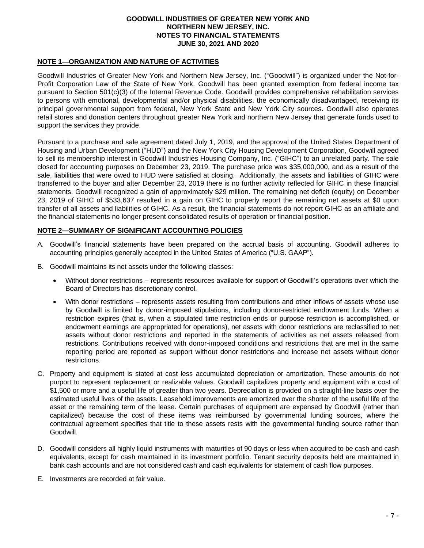## **NOTE 1—ORGANIZATION AND NATURE OF ACTIVITIES**

Goodwill Industries of Greater New York and Northern New Jersey, Inc. ("Goodwill") is organized under the Not-for-Profit Corporation Law of the State of New York. Goodwill has been granted exemption from federal income tax pursuant to Section 501(c)(3) of the Internal Revenue Code. Goodwill provides comprehensive rehabilitation services to persons with emotional, developmental and/or physical disabilities, the economically disadvantaged, receiving its principal governmental support from federal, New York State and New York City sources. Goodwill also operates retail stores and donation centers throughout greater New York and northern New Jersey that generate funds used to support the services they provide.

Pursuant to a purchase and sale agreement dated July 1, 2019, and the approval of the United States Department of Housing and Urban Development ("HUD") and the New York City Housing Development Corporation, Goodwill agreed to sell its membership interest in Goodwill Industries Housing Company, Inc. ("GIHC") to an unrelated party. The sale closed for accounting purposes on December 23, 2019. The purchase price was \$35,000,000, and as a result of the sale, liabilities that were owed to HUD were satisfied at closing. Additionally, the assets and liabilities of GIHC were transferred to the buyer and after December 23, 2019 there is no further activity reflected for GIHC in these financial statements. Goodwill recognized a gain of approximately \$29 million. The remaining net deficit (equity) on December 23, 2019 of GIHC of \$533,637 resulted in a gain on GIHC to properly report the remaining net assets at \$0 upon transfer of all assets and liabilities of GIHC. As a result, the financial statements do not report GIHC as an affiliate and the financial statements no longer present consolidated results of operation or financial position.

# **NOTE 2—SUMMARY OF SIGNIFICANT ACCOUNTING POLICIES**

- A. Goodwill's financial statements have been prepared on the accrual basis of accounting. Goodwill adheres to accounting principles generally accepted in the United States of America ("U.S. GAAP").
- B. Goodwill maintains its net assets under the following classes:
	- Without donor restrictions represents resources available for support of Goodwill's operations over which the Board of Directors has discretionary control.
	- With donor restrictions represents assets resulting from contributions and other inflows of assets whose use by Goodwill is limited by donor-imposed stipulations, including donor-restricted endowment funds. When a restriction expires (that is, when a stipulated time restriction ends or purpose restriction is accomplished, or endowment earnings are appropriated for operations), net assets with donor restrictions are reclassified to net assets without donor restrictions and reported in the statements of activities as net assets released from restrictions. Contributions received with donor-imposed conditions and restrictions that are met in the same reporting period are reported as support without donor restrictions and increase net assets without donor restrictions.
- C. Property and equipment is stated at cost less accumulated depreciation or amortization. These amounts do not purport to represent replacement or realizable values. Goodwill capitalizes property and equipment with a cost of \$1,500 or more and a useful life of greater than two years. Depreciation is provided on a straight-line basis over the estimated useful lives of the assets. Leasehold improvements are amortized over the shorter of the useful life of the asset or the remaining term of the lease. Certain purchases of equipment are expensed by Goodwill (rather than capitalized) because the cost of these items was reimbursed by governmental funding sources, where the contractual agreement specifies that title to these assets rests with the governmental funding source rather than Goodwill.
- D. Goodwill considers all highly liquid instruments with maturities of 90 days or less when acquired to be cash and cash equivalents, except for cash maintained in its investment portfolio. Tenant security deposits held are maintained in bank cash accounts and are not considered cash and cash equivalents for statement of cash flow purposes.
- E. Investments are recorded at fair value.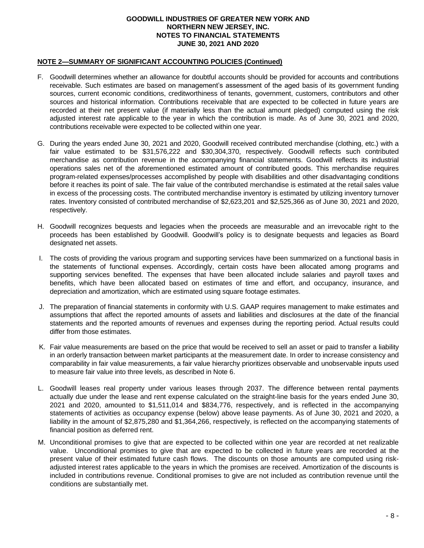## **NOTE 2—SUMMARY OF SIGNIFICANT ACCOUNTING POLICIES (Continued)**

- F. Goodwill determines whether an allowance for doubtful accounts should be provided for accounts and contributions receivable. Such estimates are based on management's assessment of the aged basis of its government funding sources, current economic conditions, creditworthiness of tenants, government, customers, contributors and other sources and historical information. Contributions receivable that are expected to be collected in future years are recorded at their net present value (if materially less than the actual amount pledged) computed using the risk adjusted interest rate applicable to the year in which the contribution is made. As of June 30, 2021 and 2020, contributions receivable were expected to be collected within one year.
- G. During the years ended June 30, 2021 and 2020, Goodwill received contributed merchandise (clothing, etc.) with a fair value estimated to be \$31,576,222 and \$30,304,370, respectively. Goodwill reflects such contributed merchandise as contribution revenue in the accompanying financial statements. Goodwill reflects its industrial operations sales net of the aforementioned estimated amount of contributed goods. This merchandise requires program-related expenses/processes accomplished by people with disabilities and other disadvantaging conditions before it reaches its point of sale. The fair value of the contributed merchandise is estimated at the retail sales value in excess of the processing costs. The contributed merchandise inventory is estimated by utilizing inventory turnover rates. Inventory consisted of contributed merchandise of \$2,623,201 and \$2,525,366 as of June 30, 2021 and 2020, respectively.
- H. Goodwill recognizes bequests and legacies when the proceeds are measurable and an irrevocable right to the proceeds has been established by Goodwill. Goodwill's policy is to designate bequests and legacies as Board designated net assets.
- I. The costs of providing the various program and supporting services have been summarized on a functional basis in the statements of functional expenses. Accordingly, certain costs have been allocated among programs and supporting services benefited. The expenses that have been allocated include salaries and payroll taxes and benefits, which have been allocated based on estimates of time and effort, and occupancy, insurance, and depreciation and amortization, which are estimated using square footage estimates.
- J. The preparation of financial statements in conformity with U.S. GAAP requires management to make estimates and assumptions that affect the reported amounts of assets and liabilities and disclosures at the date of the financial statements and the reported amounts of revenues and expenses during the reporting period. Actual results could differ from those estimates.
- K. Fair value measurements are based on the price that would be received to sell an asset or paid to transfer a liability in an orderly transaction between market participants at the measurement date. In order to increase consistency and comparability in fair value measurements, a fair value hierarchy prioritizes observable and unobservable inputs used to measure fair value into three levels, as described in Note 6.
- L. Goodwill leases real property under various leases through 2037. The difference between rental payments actually due under the lease and rent expense calculated on the straight-line basis for the years ended June 30, 2021 and 2020, amounted to \$1,511,014 and \$834,776, respectively, and is reflected in the accompanying statements of activities as occupancy expense (below) above lease payments. As of June 30, 2021 and 2020, a liability in the amount of \$2,875,280 and \$1,364,266, respectively, is reflected on the accompanying statements of financial position as deferred rent.
- M. Unconditional promises to give that are expected to be collected within one year are recorded at net realizable value. Unconditional promises to give that are expected to be collected in future years are recorded at the present value of their estimated future cash flows. The discounts on those amounts are computed using riskadjusted interest rates applicable to the years in which the promises are received. Amortization of the discounts is included in contributions revenue. Conditional promises to give are not included as contribution revenue until the conditions are substantially met.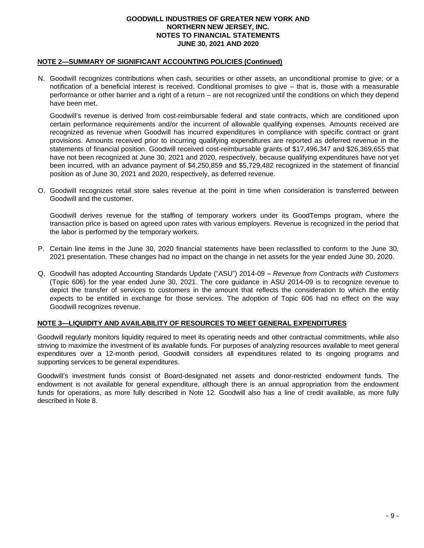## **NOTE 2—SUMMARY OF SIGNIFICANT ACCOUNTING POLICIES (Continued)**

N. Goodwill recognizes contributions when cash, securities or other assets, an unconditional promise to give; or a notification of a beneficial interest is received. Conditional promises to give – that is, those with a measurable performance or other barrier and a right of a return – are not recognized until the conditions on which they depend have been met.

Goodwill's revenue is derived from cost-reimbursable federal and state contracts, which are conditioned upon certain performance requirements and/or the incurrent of allowable qualifying expenses. Amounts received are recognized as revenue when Goodwill has incurred expenditures in compliance with specific contract or grant provisions. Amounts received prior to incurring qualifying expenditures are reported as deferred revenue in the statements of financial position. Goodwill received cost-reimbursable grants of \$17,496,347 and \$26,369,655 that have not been recognized at June 30, 2021 and 2020, respectively, because qualifying expenditures have not yet been incurred, with an advance payment of \$4,250,859 and \$5,729,482 recognized in the statement of financial position as of June 30, 2021 and 2020, respectively, as deferred revenue.

O. Goodwill recognizes retail store sales revenue at the point in time when consideration is transferred between Goodwill and the customer.

Goodwill derives revenue for the staffing of temporary workers under its GoodTemps program, where the transaction price is based on agreed upon rates with various employers. Revenue is recognized in the period that the labor is performed by the temporary workers.

- P. Certain line items in the June 30, 2020 financial statements have been reclassified to conform to the June 30, 2021 presentation. These changes had no impact on the change in net assets for the year ended June 30, 2020.
- Q. Goodwill has adopted Accounting Standards Update ("ASU") 2014-09 *Revenue from Contracts with Customers* (Topic 606) for the year ended June 30, 2021. The core guidance in ASU 2014-09 is to recognize revenue to depict the transfer of services to customers in the amount that reflects the consideration to which the entity expects to be entitled in exchange for those services. The adoption of Topic 606 had no effect on the way Goodwill recognizes revenue.

# **NOTE 3—LIQUIDITY AND AVAILABILITY OF RESOURCES TO MEET GENERAL EXPENDITURES**

Goodwill regularly monitors liquidity required to meet its operating needs and other contractual commitments, while also striving to maximize the investment of its available funds. For purposes of analyzing resources available to meet general expenditures over a 12-month period, Goodwill considers all expenditures related to its ongoing programs and supporting services to be general expenditures.

Goodwill's investment funds consist of Board-designated net assets and donor-restricted endowment funds. The endowment is not available for general expenditure, although there is an annual appropriation from the endowment funds for operations, as more fully described in Note 12. Goodwill also has a line of credit available, as more fully described in Note 8.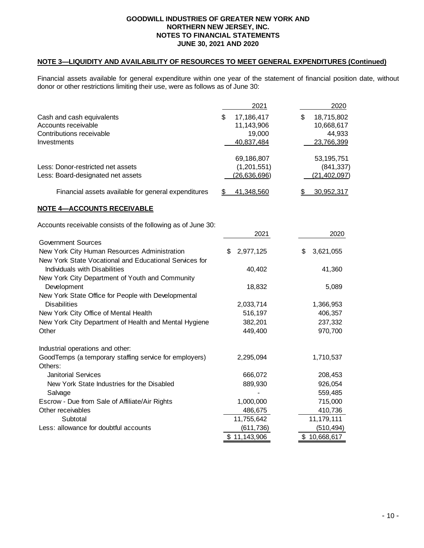## **NOTE 3—LIQUIDITY AND AVAILABILITY OF RESOURCES TO MEET GENERAL EXPENDITURES (Continued)**

Financial assets available for general expenditure within one year of the statement of financial position date, without donor or other restrictions limiting their use, were as follows as of June 30:

|                                                                                         | 2021                           | 2020                           |
|-----------------------------------------------------------------------------------------|--------------------------------|--------------------------------|
| Cash and cash equivalents<br>Accounts receivable                                        | \$<br>17,186,417<br>11,143,906 | \$<br>18,715,802<br>10,668,617 |
| Contributions receivable                                                                | 19,000                         | 44,933                         |
| Investments                                                                             | 40,837,484                     | 23,766,399                     |
|                                                                                         | 69,186,807                     | 53, 195, 751                   |
| Less: Donor-restricted net assets                                                       | (1,201,551)                    | (841, 337)                     |
| Less: Board-designated net assets                                                       | <u>(26,636,696)</u>            | (21, 402, 097)                 |
| Financial assets available for general expenditures                                     | 41,348,560<br>S.               | 30,952,317                     |
| <u>NOTE 4-ACCOUNTS RECEIVABLE</u>                                                       |                                |                                |
| Accounts receivable consists of the following as of June 30:                            |                                |                                |
|                                                                                         | 2021                           | 2020                           |
| <b>Government Sources</b>                                                               |                                |                                |
| New York City Human Resources Administration                                            | \$<br>2,977,125                | \$<br>3,621,055                |
| New York State Vocational and Educational Services for<br>Individuals with Disabilities | 40,402                         | 41,360                         |
| New York City Department of Youth and Community                                         |                                |                                |
| Development                                                                             | 18,832                         | 5,089                          |
| New York State Office for People with Developmental                                     |                                |                                |
| <b>Disabilities</b>                                                                     | 2,033,714                      | 1,366,953                      |
| New York City Office of Mental Health                                                   | 516,197                        | 406,357                        |
| New York City Department of Health and Mental Hygiene                                   | 382,201                        | 237,332                        |
| Other                                                                                   | 449,400                        | 970,700                        |
| Industrial operations and other:                                                        |                                |                                |
| GoodTemps (a temporary staffing service for employers)                                  | 2,295,094                      | 1,710,537                      |
| Others:                                                                                 |                                |                                |
| Janitorial Services                                                                     | 666,072                        | 208,453                        |
| New York State Industries for the Disabled                                              | 889,930                        | 926,054                        |
| Salvage                                                                                 |                                | 559,485                        |
| Escrow - Due from Sale of Affiliate/Air Rights                                          | 1,000,000                      | 715,000                        |
| Other receivables                                                                       | 486,675                        | 410,736                        |
| Subtotal                                                                                | 11,755,642                     | 11,179,111                     |
| Less: allowance for doubtful accounts                                                   | (611, 736)                     | (510, 494)                     |
|                                                                                         | \$11,143,906                   | \$10,668,617                   |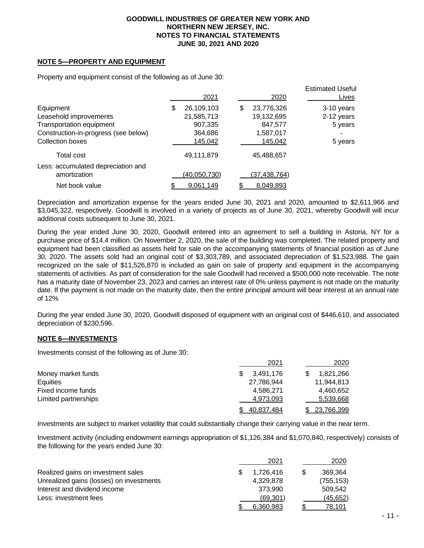#### **NOTE 5—PROPERTY AND EQUIPMENT**

Property and equipment consist of the following as of June 30:

|                                                    | 2021             |   | 2020         | <b>Estimated Useful</b><br>Lives |
|----------------------------------------------------|------------------|---|--------------|----------------------------------|
| Equipment                                          | \$<br>26,109,103 | S | 23,776,326   | 3-10 years                       |
| Leasehold improvements                             | 21,585,713       |   | 19,132,695   | 2-12 years                       |
| Transportation equipment                           | 907,335          |   | 847,577      | 5 years                          |
| Construction-in-progress (see below)               | 364,686          |   | 1,587,017    |                                  |
| <b>Collection boxes</b>                            | 145,042          |   | 145,042      | 5 years                          |
| Total cost                                         | 49,111,879       |   | 45,488,657   |                                  |
| Less: accumulated depreciation and<br>amortization | (40,050,730)     |   | (37,438,764) |                                  |
| Net book value                                     | 9,061,149        |   | 8,049,893    |                                  |

Depreciation and amortization expense for the years ended June 30, 2021 and 2020, amounted to \$2,611,966 and \$3,045,322, respectively. Goodwill is involved in a variety of projects as of June 30, 2021, whereby Goodwill will incur additional costs subsequent to June 30, 2021.

During the year ended June 30, 2020, Goodwill entered into an agreement to sell a building in Astoria, NY for a purchase price of \$14.4 million. On November 2, 2020, the sale of the building was completed. The related property and equipment had been classified as assets held for sale on the accompanying statements of financial position as of June 30, 2020. The assets sold had an original cost of \$3,303,789, and associated depreciation of \$1,523,988. The gain recognized on the sale of \$11,526,870 is included as gain on sale of property and equipment in the accompanying statements of activities. As part of consideration for the sale Goodwill had received a \$500,000 note receivable. The note has a maturity date of November 23, 2023 and carries an interest rate of 0% unless payment is not made on the maturity date. If the payment is not made on the maturity date, then the entire principal amount will bear interest at an annual rate of 12%

During the year ended June 30, 2020, Goodwill disposed of equipment with an original cost of \$446,610, and associated depreciation of \$230,596.

#### **NOTE 6—INVESTMENTS**

Investments consist of the following as of June 30:

|                      | 2021       | 2020       |
|----------------------|------------|------------|
| Money market funds   | 3.491.176  | 1,821,266  |
| Equities             | 27.786.944 | 11.944.813 |
| Fixed income funds   | 4.586.271  | 4.460.652  |
| Limited partnerships | 4,973,093  | 5,539,668  |
|                      | 40,837,484 | 23,766,399 |

Investments are subject to market volatility that could substantially change their carrying value in the near term.

Investment activity (including endowment earnings appropriation of \$1,126,384 and \$1,070,840, respectively) consists of the following for the years ended June 30:

|                                          | 2021      |     | 2020       |
|------------------------------------------|-----------|-----|------------|
| Realized gains on investment sales       | 1.726.416 | \$. | 369.364    |
| Unrealized gains (losses) on investments | 4.329.878 |     | (755, 153) |
| Interest and dividend income             | 373.990   |     | 509.542    |
| Less: investment fees                    | (69, 301) |     | (45, 652)  |
|                                          | 6.360.983 |     | 78.101     |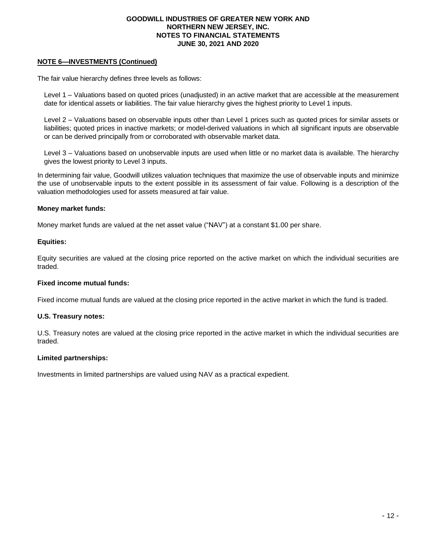#### **NOTE 6—INVESTMENTS (Continued)**

The fair value hierarchy defines three levels as follows:

Level 1 – Valuations based on quoted prices (unadjusted) in an active market that are accessible at the measurement date for identical assets or liabilities. The fair value hierarchy gives the highest priority to Level 1 inputs.

Level 2 – Valuations based on observable inputs other than Level 1 prices such as quoted prices for similar assets or liabilities; quoted prices in inactive markets; or model-derived valuations in which all significant inputs are observable or can be derived principally from or corroborated with observable market data.

Level 3 – Valuations based on unobservable inputs are used when little or no market data is available. The hierarchy gives the lowest priority to Level 3 inputs.

In determining fair value, Goodwill utilizes valuation techniques that maximize the use of observable inputs and minimize the use of unobservable inputs to the extent possible in its assessment of fair value. Following is a description of the valuation methodologies used for assets measured at fair value.

#### **Money market funds:**

Money market funds are valued at the net asset value ("NAV") at a constant \$1.00 per share.

## **Equities:**

Equity securities are valued at the closing price reported on the active market on which the individual securities are traded.

#### **Fixed income mutual funds:**

Fixed income mutual funds are valued at the closing price reported in the active market in which the fund is traded.

# **U.S. Treasury notes:**

U.S. Treasury notes are valued at the closing price reported in the active market in which the individual securities are traded.

# **Limited partnerships:**

Investments in limited partnerships are valued using NAV as a practical expedient.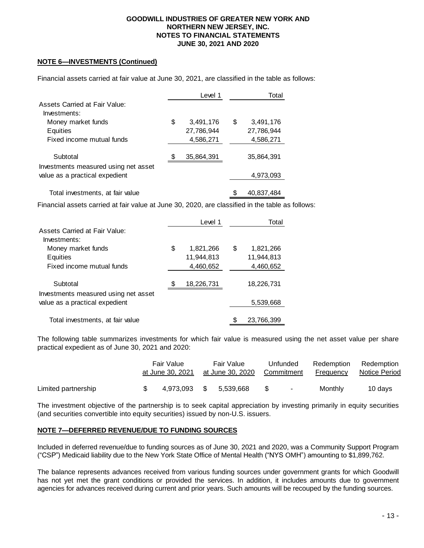#### **NOTE 6—INVESTMENTS (Continued)**

Financial assets carried at fair value at June 30, 2021, are classified in the table as follows:

|                                                  | Level 1         |    | Total      |
|--------------------------------------------------|-----------------|----|------------|
| Assets Carried at Fair Value:<br>Investments:    |                 |    |            |
| Money market funds                               | \$<br>3,491,176 | \$ | 3,491,176  |
| Equities                                         | 27,786,944      |    | 27,786,944 |
| Fixed income mutual funds                        | 4,586,271       |    | 4,586,271  |
| Subtotal<br>Investments measured using net asset | 35,864,391      |    | 35,864,391 |
| value as a practical expedient                   |                 |    | 4,973,093  |
| Total investments, at fair value                 |                 | S  | 40.837.484 |

Financial assets carried at fair value at June 30, 2020, are classified in the table as follows:

|                                                  |     | Level 1    |   | Total      |
|--------------------------------------------------|-----|------------|---|------------|
| Assets Carried at Fair Value:<br>Investments:    |     |            |   |            |
| Money market funds                               | \$  | 1,821,266  | S | 1,821,266  |
| Equities                                         |     | 11,944,813 |   | 11,944,813 |
| Fixed income mutual funds                        |     | 4,460,652  |   | 4,460,652  |
| Subtotal<br>Investments measured using net asset | \$. | 18,226,731 |   | 18,226,731 |
| value as a practical expedient                   |     |            |   | 5,539,668  |
| Total investments, at fair value                 |     |            |   | 23,766,399 |

The following table summarizes investments for which fair value is measured using the net asset value per share practical expedient as of June 30, 2021 and 2020:

|                     | Fair Value<br>at June 30, 2021 | Fair Value<br>at June 30, 2020 |     | Unfunded<br>Commitment | Redemption<br>Frequency | Redemption<br>Notice Period |
|---------------------|--------------------------------|--------------------------------|-----|------------------------|-------------------------|-----------------------------|
| Limited partnership | 4.973.093 \$                   | 5.539.668                      | S S | $\sim$                 | Monthly                 | 10 davs                     |

The investment objective of the partnership is to seek capital appreciation by investing primarily in equity securities (and securities convertible into equity securities) issued by non-U.S. issuers.

#### **NOTE 7—DEFERRED REVENUE/DUE TO FUNDING SOURCES**

Included in deferred revenue/due to funding sources as of June 30, 2021 and 2020, was a Community Support Program ("CSP") Medicaid liability due to the New York State Office of Mental Health ("NYS OMH") amounting to \$1,899,762.

The balance represents advances received from various funding sources under government grants for which Goodwill has not yet met the grant conditions or provided the services. In addition, it includes amounts due to government agencies for advances received during current and prior years. Such amounts will be recouped by the funding sources.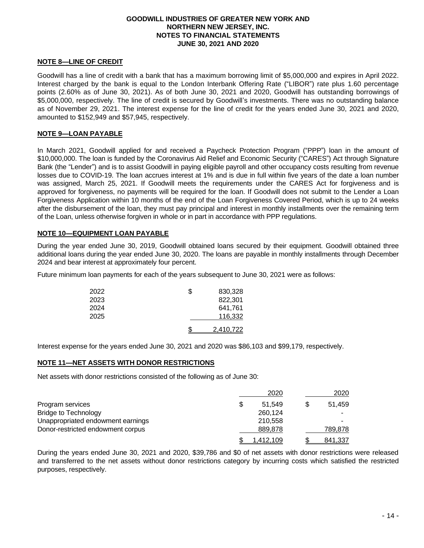#### **NOTE 8—LINE OF CREDIT**

Goodwill has a line of credit with a bank that has a maximum borrowing limit of \$5,000,000 and expires in April 2022. Interest charged by the bank is equal to the London Interbank Offering Rate ("LIBOR") rate plus 1.60 percentage points (2.60% as of June 30, 2021). As of both June 30, 2021 and 2020, Goodwill has outstanding borrowings of \$5,000,000, respectively. The line of credit is secured by Goodwill's investments. There was no outstanding balance as of November 29, 2021. The interest expense for the line of credit for the years ended June 30, 2021 and 2020, amounted to \$152,949 and \$57,945, respectively.

#### **NOTE 9—LOAN PAYABLE**

In March 2021, Goodwill applied for and received a Paycheck Protection Program ("PPP") loan in the amount of \$10,000,000. The loan is funded by the Coronavirus Aid Relief and Economic Security ("CARES") Act through Signature Bank (the "Lender") and is to assist Goodwill in paying eligible payroll and other occupancy costs resulting from revenue losses due to COVID-19. The loan accrues interest at 1% and is due in full within five years of the date a loan number was assigned, March 25, 2021. If Goodwill meets the requirements under the CARES Act for forgiveness and is approved for forgiveness, no payments will be required for the loan. If Goodwill does not submit to the Lender a Loan Forgiveness Application within 10 months of the end of the Loan Forgiveness Covered Period, which is up to 24 weeks after the disbursement of the loan, they must pay principal and interest in monthly installments over the remaining term of the Loan, unless otherwise forgiven in whole or in part in accordance with PPP regulations.

#### **NOTE 10―EQUIPMENT LOAN PAYABLE**

During the year ended June 30, 2019, Goodwill obtained loans secured by their equipment. Goodwill obtained three additional loans during the year ended June 30, 2020. The loans are payable in monthly installments through December 2024 and bear interest at approximately four percent.

Future minimum loan payments for each of the years subsequent to June 30, 2021 were as follows:

| S | 830,328   |
|---|-----------|
|   | 822,301   |
|   | 641,761   |
|   | 116,332   |
|   | 2.410.722 |
|   |           |

Interest expense for the years ended June 30, 2021 and 2020 was \$86,103 and \$99,179, respectively.

#### **NOTE 11—NET ASSETS WITH DONOR RESTRICTIONS**

Net assets with donor restrictions consisted of the following as of June 30:

|                                   | 2020         | 2020    |
|-----------------------------------|--------------|---------|
| Program services                  | \$<br>51.549 | 51.459  |
| <b>Bridge to Technology</b>       | 260,124      | -       |
| Unappropriated endowment earnings | 210,558      | -       |
| Donor-restricted endowment corpus | 889,878      | 789,878 |
|                                   | 1.412.109    | 841,337 |

During the years ended June 30, 2021 and 2020, \$39,786 and \$0 of net assets with donor restrictions were released and transferred to the net assets without donor restrictions category by incurring costs which satisfied the restricted purposes, respectively.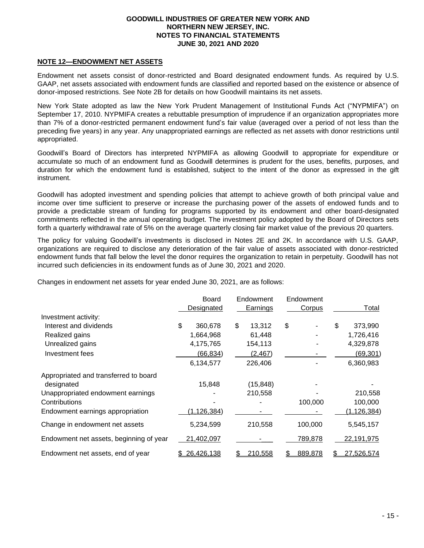#### **NOTE 12—ENDOWMENT NET ASSETS**

Endowment net assets consist of donor-restricted and Board designated endowment funds. As required by U.S. GAAP, net assets associated with endowment funds are classified and reported based on the existence or absence of donor-imposed restrictions. See Note 2B for details on how Goodwill maintains its net assets.

New York State adopted as law the New York Prudent Management of Institutional Funds Act ("NYPMIFA") on September 17, 2010. NYPMIFA creates a rebuttable presumption of imprudence if an organization appropriates more than 7% of a donor-restricted permanent endowment fund's fair value (averaged over a period of not less than the preceding five years) in any year. Any unappropriated earnings are reflected as net assets with donor restrictions until appropriated.

Goodwill's Board of Directors has interpreted NYPMIFA as allowing Goodwill to appropriate for expenditure or accumulate so much of an endowment fund as Goodwill determines is prudent for the uses, benefits, purposes, and duration for which the endowment fund is established, subject to the intent of the donor as expressed in the gift instrument.

Goodwill has adopted investment and spending policies that attempt to achieve growth of both principal value and income over time sufficient to preserve or increase the purchasing power of the assets of endowed funds and to provide a predictable stream of funding for programs supported by its endowment and other board-designated commitments reflected in the annual operating budget. The investment policy adopted by the Board of Directors sets forth a quarterly withdrawal rate of 5% on the average quarterly closing fair market value of the previous 20 quarters.

The policy for valuing Goodwill's investments is disclosed in Notes 2E and 2K. In accordance with U.S. GAAP, organizations are required to disclose any deterioration of the fair value of assets associated with donor-restricted endowment funds that fall below the level the donor requires the organization to retain in perpetuity. Goodwill has not incurred such deficiencies in its endowment funds as of June 30, 2021 and 2020.

Changes in endowment net assets for year ended June 30, 2021, are as follows:

|                                         | <b>Board</b><br>Designated | Endowment<br>Earnings | Endowment<br>Corpus | Total          |
|-----------------------------------------|----------------------------|-----------------------|---------------------|----------------|
| Investment activity:                    |                            |                       |                     |                |
| Interest and dividends                  | \$<br>360,678              | 13,312<br>\$.         | \$                  | \$.<br>373,990 |
| Realized gains                          | 1,664,968                  | 61,448                |                     | 1,726,416      |
| Unrealized gains                        | 4,175,765                  | 154,113               |                     | 4,329,878      |
| Investment fees                         | (66,834)                   | (2, 467)              |                     | (69, 301)      |
|                                         | 6,134,577                  | 226,406               |                     | 6,360,983      |
| Appropriated and transferred to board   |                            |                       |                     |                |
| designated                              | 15,848                     | (15, 848)             |                     |                |
| Unappropriated endowment earnings       |                            | 210,558               |                     | 210,558        |
| Contributions                           |                            |                       | 100,000             | 100,000        |
| Endowment earnings appropriation        | (1, 126, 384)              |                       |                     | (1, 126, 384)  |
| Change in endowment net assets          | 5,234,599                  | 210,558               | 100,000             | 5,545,157      |
| Endowment net assets, beginning of year | 21,402,097                 |                       | 789,878             | 22,191,975     |
| Endowment net assets, end of year       | 26,426,138                 | 210,558               | 889,878             | 27,526,574     |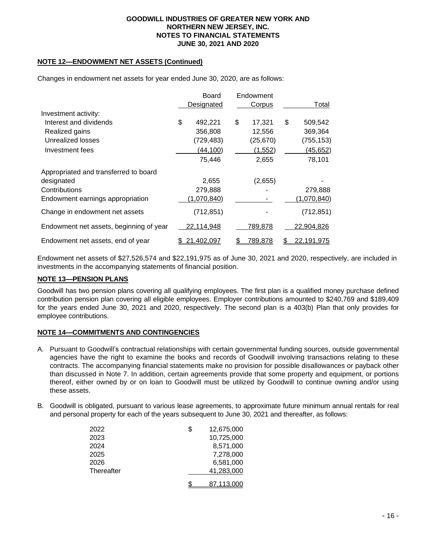#### **NOTE 12—ENDOWMENT NET ASSETS (Continued)**

Changes in endowment net assets for year ended June 30, 2020, are as follows:

|                                         | <b>Board</b>  | Endowment    |               |
|-----------------------------------------|---------------|--------------|---------------|
|                                         | Designated    | Corpus       | Total         |
| Investment activity:                    |               |              |               |
| Interest and dividends                  | \$<br>492,221 | \$<br>17,321 | \$<br>509,542 |
| Realized gains                          | 356,808       | 12,556       | 369,364       |
| Unrealized losses                       | (729, 483)    | (25, 670)    | (755, 153)    |
| Investment fees                         | (44, 100)     | (1, 552)     | (45, 652)     |
|                                         | 75,446        | 2,655        | 78,101        |
| Appropriated and transferred to board   |               |              |               |
| designated                              | 2,655         | (2,655)      |               |
| Contributions                           | 279,888       |              | 279,888       |
| Endowment earnings appropriation        | (1,070,840)   |              | (1,070,840)   |
| Change in endowment net assets          | (712, 851)    |              | (712, 851)    |
| Endowment net assets, beginning of year | 22,114,948    | 789,878      | 22,904,826    |
| Endowment net assets, end of year       | 21,402,097    | 789,878      | 22,191,975    |

Endowment net assets of \$27,526,574 and \$22,191,975 as of June 30, 2021 and 2020, respectively, are included in investments in the accompanying statements of financial position.

#### **NOTE 13—PENSION PLANS**

Goodwill has two pension plans covering all qualifying employees. The first plan is a qualified money purchase defined contribution pension plan covering all eligible employees. Employer contributions amounted to \$240,769 and \$189,409 for the years ended June 30, 2021 and 2020, respectively. The second plan is a 403(b) Plan that only provides for employee contributions.

#### **NOTE 14—COMMITMENTS AND CONTINGENCIES**

- A. Pursuant to Goodwill's contractual relationships with certain governmental funding sources, outside governmental agencies have the right to examine the books and records of Goodwill involving transactions relating to these contracts. The accompanying financial statements make no provision for possible disallowances or payback other than discussed in Note 7. In addition, certain agreements provide that some property and equipment, or portions thereof, either owned by or on loan to Goodwill must be utilized by Goodwill to continue owning and/or using these assets.
- B. Goodwill is obligated, pursuant to various lease agreements, to approximate future minimum annual rentals for real and personal property for each of the years subsequent to June 30, 2021 and thereafter, as follows:

| 2022       | S | 12,675,000 |
|------------|---|------------|
| 2023       |   | 10,725,000 |
| 2024       |   | 8,571,000  |
| 2025       |   | 7,278,000  |
| 2026       |   | 6,581,000  |
| Thereafter |   | 41,283,000 |
|            |   | 87,113,000 |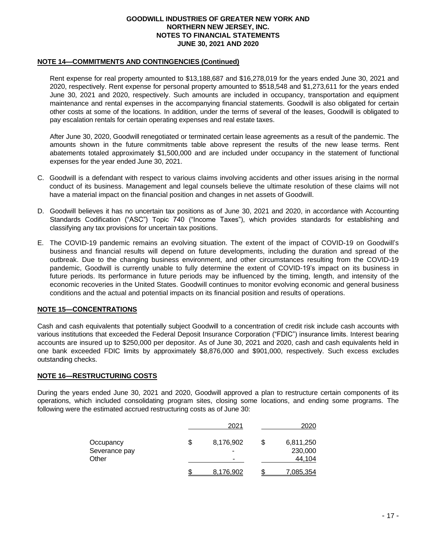#### **NOTE 14—COMMITMENTS AND CONTINGENCIES (Continued)**

Rent expense for real property amounted to \$13,188,687 and \$16,278,019 for the years ended June 30, 2021 and 2020, respectively. Rent expense for personal property amounted to \$518,548 and \$1,273,611 for the years ended June 30, 2021 and 2020, respectively. Such amounts are included in occupancy, transportation and equipment maintenance and rental expenses in the accompanying financial statements. Goodwill is also obligated for certain other costs at some of the locations. In addition, under the terms of several of the leases, Goodwill is obligated to pay escalation rentals for certain operating expenses and real estate taxes.

After June 30, 2020, Goodwill renegotiated or terminated certain lease agreements as a result of the pandemic. The amounts shown in the future commitments table above represent the results of the new lease terms. Rent abatements totaled approximately \$1,500,000 and are included under occupancy in the statement of functional expenses for the year ended June 30, 2021.

- C. Goodwill is a defendant with respect to various claims involving accidents and other issues arising in the normal conduct of its business. Management and legal counsels believe the ultimate resolution of these claims will not have a material impact on the financial position and changes in net assets of Goodwill.
- D. Goodwill believes it has no uncertain tax positions as of June 30, 2021 and 2020, in accordance with Accounting Standards Codification ("ASC") Topic 740 ("Income Taxes"), which provides standards for establishing and classifying any tax provisions for uncertain tax positions.
- E. The COVID-19 pandemic remains an evolving situation. The extent of the impact of COVID-19 on Goodwill's business and financial results will depend on future developments, including the duration and spread of the outbreak. Due to the changing business environment, and other circumstances resulting from the COVID-19 pandemic, Goodwill is currently unable to fully determine the extent of COVID-19's impact on its business in future periods. Its performance in future periods may be influenced by the timing, length, and intensity of the economic recoveries in the United States. Goodwill continues to monitor evolving economic and general business conditions and the actual and potential impacts on its financial position and results of operations.

# **NOTE 15―CONCENTRATIONS**

Cash and cash equivalents that potentially subject Goodwill to a concentration of credit risk include cash accounts with various institutions that exceeded the Federal Deposit Insurance Corporation ("FDIC") insurance limits. Interest bearing accounts are insured up to \$250,000 per depositor. As of June 30, 2021 and 2020, cash and cash equivalents held in one bank exceeded FDIC limits by approximately \$8,876,000 and \$901,000, respectively. Such excess excludes outstanding checks.

#### **NOTE 16―RESTRUCTURING COSTS**

During the years ended June 30, 2021 and 2020, Goodwill approved a plan to restructure certain components of its operations, which included consolidating program sites, closing some locations, and ending some programs. The following were the estimated accrued restructuring costs as of June 30:

|                            | 2021                 | 2020                 |
|----------------------------|----------------------|----------------------|
| Occupancy<br>Severance pay | \$<br>8,176,902<br>٠ | 6,811,250<br>230,000 |
| Other                      | -                    | 44,104               |
|                            | 8.176.902            | <u>7,085,354</u>     |